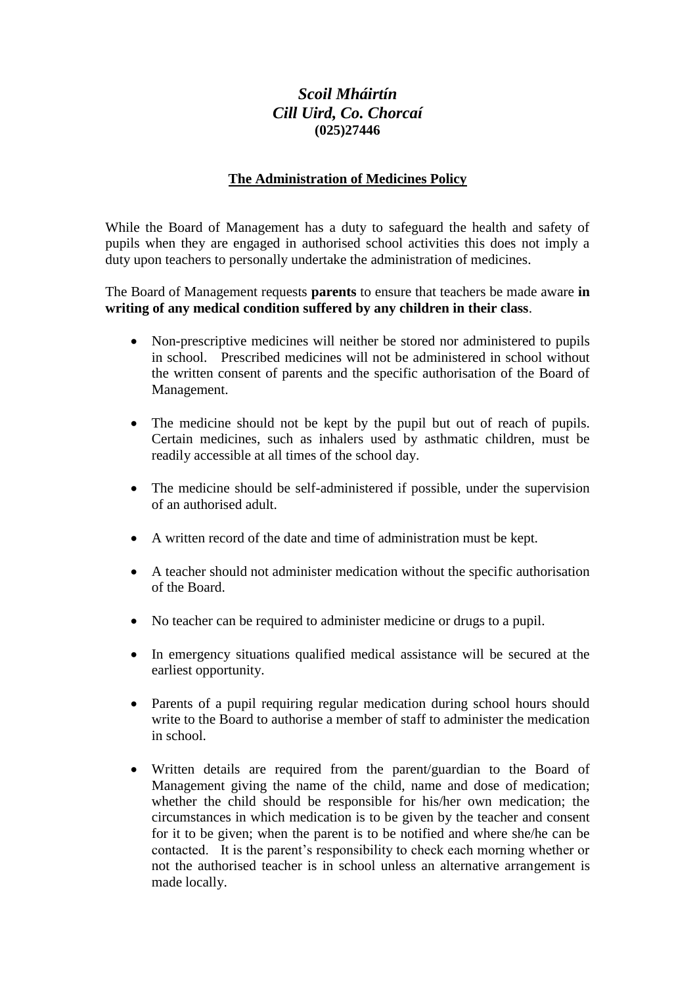## *Scoil Mháirtín Cill Uird, Co. Chorcaí* **(025)27446**

## **The Administration of Medicines Policy**

While the Board of Management has a duty to safeguard the health and safety of pupils when they are engaged in authorised school activities this does not imply a duty upon teachers to personally undertake the administration of medicines.

The Board of Management requests **parents** to ensure that teachers be made aware **in writing of any medical condition suffered by any children in their class**.

- Non-prescriptive medicines will neither be stored nor administered to pupils in school. Prescribed medicines will not be administered in school without the written consent of parents and the specific authorisation of the Board of Management.
- The medicine should not be kept by the pupil but out of reach of pupils. Certain medicines, such as inhalers used by asthmatic children, must be readily accessible at all times of the school day.
- The medicine should be self-administered if possible, under the supervision of an authorised adult.
- A written record of the date and time of administration must be kept.
- A teacher should not administer medication without the specific authorisation of the Board.
- No teacher can be required to administer medicine or drugs to a pupil.
- In emergency situations qualified medical assistance will be secured at the earliest opportunity.
- Parents of a pupil requiring regular medication during school hours should write to the Board to authorise a member of staff to administer the medication in school.
- Written details are required from the parent/guardian to the Board of Management giving the name of the child, name and dose of medication; whether the child should be responsible for his/her own medication; the circumstances in which medication is to be given by the teacher and consent for it to be given; when the parent is to be notified and where she/he can be contacted. It is the parent's responsibility to check each morning whether or not the authorised teacher is in school unless an alternative arrangement is made locally.